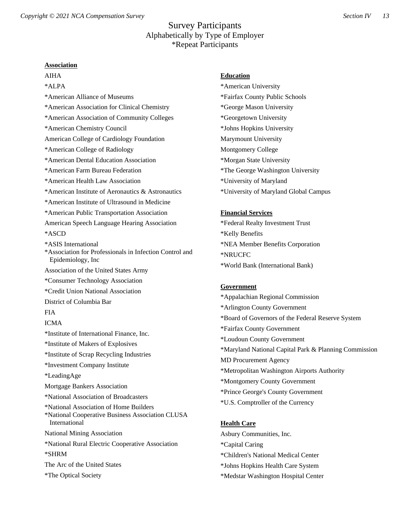**Association** AIHA \*ALPA \*American Alliance of Museums \*American Association for Clinical Chemistry \*American Association of Community Colleges \*American Chemistry Council American College of Cardiology Foundation \*American College of Radiology \*American Dental Education Association \*American Farm Bureau Federation \*American Health Law Association \*American Institute of Aeronautics & Astronautics \*American Institute of Ultrasound in Medicine \*American Public Transportation Association American Speech Language Hearing Association \*ASCD \*ASIS International \*Association for Professionals in Infection Control and Epidemiology, Inc Association of the United States Army \*Consumer Technology Association \*Credit Union National Association District of Columbia Bar FIA ICMA \*Institute of International Finance, Inc. \*Institute of Makers of Explosives \*Institute of Scrap Recycling Industries \*Investment Company Institute \*LeadingAge Mortgage Bankers Association \*National Association of Broadcasters \*National Association of Home Builders \*National Cooperative Business Association CLUSA International National Mining Association \*National Rural Electric Cooperative Association \*SHRM The Arc of the United States \*The Optical Society

## **Education**

\*American University \*Fairfax County Public Schools \*George Mason University \*Georgetown University \*Johns Hopkins University Marymount University Montgomery College \*Morgan State University \*The George Washington University \*University of Maryland \*University of Maryland Global Campus

## **Financial Services**

\*Federal Realty Investment Trust \*Kelly Benefits \*NEA Member Benefits Corporation \*NRUCFC \*World Bank (International Bank)

### **Government**

\*Appalachian Regional Commission \*Arlington County Government \*Board of Governors of the Federal Reserve System \*Fairfax County Government \*Loudoun County Government \*Maryland National Capital Park & Planning Commission MD Procurement Agency \*Metropolitan Washington Airports Authority \*Montgomery County Government \*Prince George's County Government \*U.S. Comptroller of the Currency

# **Health Care**

Asbury Communities, Inc. \*Capital Caring \*Children's National Medical Center \*Johns Hopkins Health Care System \*Medstar Washington Hospital Center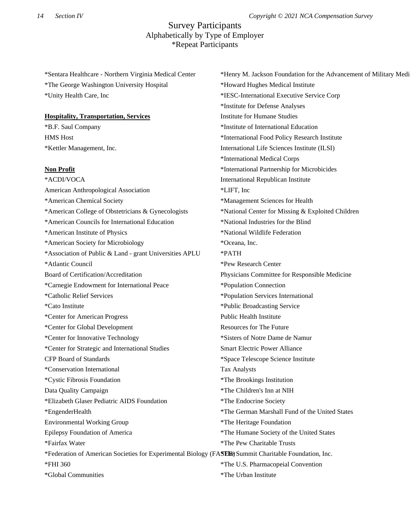\*Sentara Healthcare - Northern Virginia Medical Center \*The George Washington University Hospital \*Unity Health Care, Inc

#### **Hospitality, Transportation, Services**

\*B.F. Saul Company HMS Host \*Kettler Management, Inc.

#### **Non Profit**

\*ACDI/VOCA American Anthropological Association \*American Chemical Society \*American College of Obstetricians & Gynecologists \*American Councils for International Education \*American Institute of Physics \*American Society for Microbiology \*Association of Public & Land - grant Universities APLU \*Atlantic Council Board of Certification/Accreditation \*Carnegie Endowment for International Peace \*Catholic Relief Services \*Cato Institute \*Center for American Progress \*Center for Global Development \*Center for Innovative Technology \*Center for Strategic and International Studies CFP Board of Standards \*Conservation International \*Cystic Fibrosis Foundation Data Quality Campaign \*Elizabeth Glaser Pediatric AIDS Foundation \*EngenderHealth Environmental Working Group Epilepsy Foundation of America \*Fairfax Water \*Federation of American Societies for Experimental Biology (FASER) Summit Charitable Foundation, Inc. \*FHI 360 \*Global Communities \*LIFT, Inc \*Oceana, Inc. \*PATH \*Pew Research Center \*Population Connection Public Health Institute Tax Analysts \*The Endocrine Society \*The Urban Institute

\*Henry M. Jackson Foundation for the Advancement of Military Medicine \*Howard Hughes Medical Institute \*IESC-International Executive Service Corp \*Institute for Defense Analyses Institute for Humane Studies \*Institute of International Education \*International Food Policy Research Institute International Life Sciences Institute (ILSI) \*International Medical Corps \*International Partnership for Microbicides International Republican Institute \*Management Sciences for Health \*National Center for Missing & Exploited Children \*National Industries for the Blind \*National Wildlife Federation Physicians Committee for Responsible Medicine \*Population Services International \*Public Broadcasting Service Resources for The Future \*Sisters of Notre Dame de Namur Smart Electric Power Alliance \*Space Telescope Science Institute \*The Brookings Institution \*The Children's Inn at NIH \*The German Marshall Fund of the United States \*The Heritage Foundation \*The Humane Society of the United States \*The Pew Charitable Trusts \*The U.S. Pharmacopeial Convention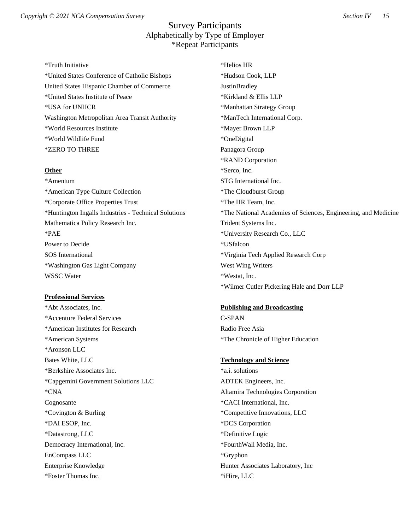\*Truth Initiative \*United States Conference of Catholic Bishops United States Hispanic Chamber of Commerce \*United States Institute of Peace \*USA for UNHCR Washington Metropolitan Area Transit Authority \*World Resources Institute \*World Wildlife Fund \*ZERO TO THREE

#### **Other**

\*Amentum \*American Type Culture Collection \*Corporate Office Properties Trust \*Huntington Ingalls Industries - Technical Solutions Mathematica Policy Research Inc. \*PAE Power to Decide SOS International \*Washington Gas Light Company WSSC Water

### **Professional Services**

\*Abt Associates, Inc. \*Accenture Federal Services \*American Institutes for Research \*American Systems \*Aronson LLC Bates White, LLC \*Berkshire Associates Inc. \*Capgemini Government Solutions LLC \*CNA Cognosante \*Covington & Burling \*DAI ESOP, Inc. \*Datastrong, LLC Democracy International, Inc. EnCompass LLC Enterprise Knowledge \*Foster Thomas Inc.

\*Helios HR \*Hudson Cook, LLP **JustinBradley** \*Kirkland & Ellis LLP \*Manhattan Strategy Group \*ManTech International Corp. \*Mayer Brown LLP \*OneDigital Panagora Group \*RAND Corporation \*Serco, Inc. STG International Inc. \*The Cloudburst Group \*The HR Team, Inc. \*The National Academies of Sciences, Engineering, and Medicine Trident Systems Inc. \*University Research Co., LLC \*USfalcon \*Virginia Tech Applied Research Corp West Wing Writers \*Westat, Inc. \*Wilmer Cutler Pickering Hale and Dorr LLP

### **Publishing and Broadcasting**

C-SPAN Radio Free Asia \*The Chronicle of Higher Education

#### **Technology and Science**

\*a.i. solutions ADTEK Engineers, Inc. Altamira Technologies Corporation \*CACI International, Inc. \*Competitive Innovations, LLC \*DCS Corporation \*Definitive Logic \*FourthWall Media, Inc. \*Gryphon Hunter Associates Laboratory, Inc \*iHire, LLC